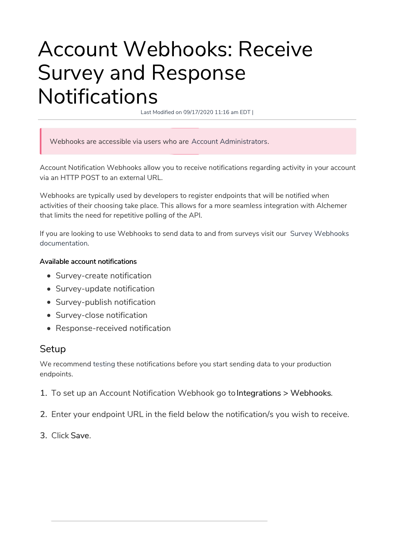# Account Webhooks: Receive Survey and Response Notifications

Last Modified on 09/17/2020 11:16 am EDT |

Webhooks are accessible via users who are Account Administrators.

Account Notification Webhooks allow you to receive notifications regarding activity in your account via an HTTP POST to an external URL.

Webhooks are typically used by developers to register endpoints that will be notified when activities of their choosing take place. This allows for a more seamless integration with Alchemer that limits the need for repetitive polling of the API.

If you are looking to use Webhooks to send data to and from surveys visit our Survey Webhooks documentation.

### Available account notifications

- Survey-create notification
- Survey-update notification
- Survey-publish notification
- Survey-close notification
- Response-received notification

## **Setup**

We recommend testing these notifications before you start sending data to your production endpoints.

- 1. To set up an Account Notification Webhook go to Integrations > Webhooks.
- 2. Enter your endpoint URL in the field below the notification/s you wish to receive.
- 3. Click Save.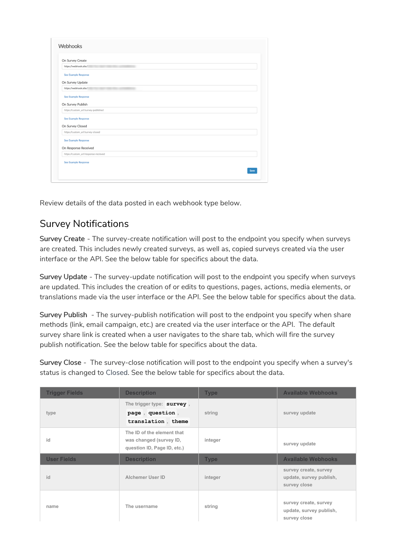| On Survey Create                     |  |  |
|--------------------------------------|--|--|
| https://webhook.site/                |  |  |
| See Example Response                 |  |  |
| On Survey Update                     |  |  |
| https://webhook.site/                |  |  |
| See Example Response                 |  |  |
| On Survey Publish                    |  |  |
| https://custom_url/survey-published  |  |  |
| See Example Response                 |  |  |
| On Survey Closed                     |  |  |
| https://custom_url/survey-closed     |  |  |
| See Example Response                 |  |  |
| On Response Received                 |  |  |
| https://custom_url/response-recieved |  |  |
| See Example Response                 |  |  |
|                                      |  |  |

Review details of the data posted in each webhook type below.

## Survey Notifications

Survey Create - The survey-create notification will post to the endpoint you specify when surveys are created. This includes newly created surveys, as well as, copied surveys created via the user interface or the API. See the below table for specifics about the data.

Survey Update - The survey-update notification will post to the endpoint you specify when surveys are updated. This includes the creation of or edits to questions, pages, actions, media elements, or translations made via the user interface or the API. See the below table for specifics about the data.

Survey Publish - The survey-publish notification will post to the endpoint you specify when share methods (link, email campaign, etc.) are created via the user interface or the API. The default survey share link is created when a user navigates to the share tab, which will fire the survey publish notification. See the below table for specifics about the data.

Survey Close - The survey-close notification will post to the endpoint you specify when a survey's status is changed to Closed. See the below table for specifics about the data.

| <b>Trigger Fields</b> | <b>Description</b>                                                                   | <b>Type</b> | <b>Available Webhooks</b>                                        |
|-----------------------|--------------------------------------------------------------------------------------|-------------|------------------------------------------------------------------|
| type                  | The trigger type: survey,<br>page, question,<br>translation, theme                   | string      | survey update                                                    |
| id                    | The ID of the element that<br>was changed (survey ID,<br>question ID, Page ID, etc.) | integer     | survey update                                                    |
| <b>User Fields</b>    | <b>Description</b>                                                                   | <b>Type</b> | <b>Available Webhooks</b>                                        |
| id                    | Alchemer User ID                                                                     | integer     | survey create, survey<br>update, survey publish,<br>survey close |
| name                  | The username                                                                         | string      | survey create, survey<br>update, survey publish,<br>survey close |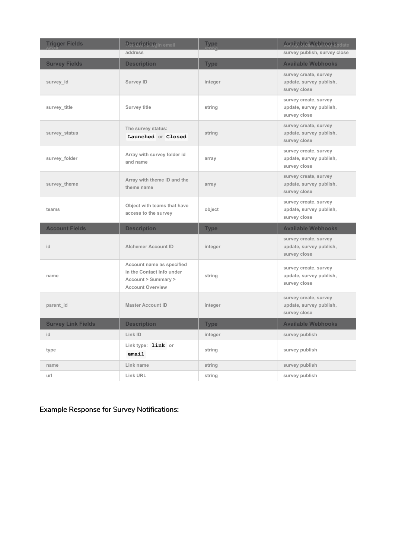| <b>Trigger Fields</b>     | Descriptionin email                                                                                      | <b>Type</b> | <b>Available, Webhookspdate</b>                                  |
|---------------------------|----------------------------------------------------------------------------------------------------------|-------------|------------------------------------------------------------------|
|                           | address                                                                                                  |             | survey publish, survey close                                     |
| <b>Survey Fields</b>      | <b>Description</b>                                                                                       | <b>Type</b> | <b>Available Webhooks</b>                                        |
| survey id                 | <b>Survey ID</b>                                                                                         | integer     | survey create, survey<br>update, survey publish,<br>survey close |
| survey title              | <b>Survey title</b>                                                                                      | string      | survey create, survey<br>update, survey publish,<br>survey close |
| survey status             | The survey status:<br>Launched or Closed                                                                 | string      | survey create, survey<br>update, survey publish,<br>survey close |
| survey folder             | Array with survey folder id<br>and name                                                                  | array       | survey create, survey<br>update, survey publish,<br>survey close |
| survey theme              | Array with theme ID and the<br>theme name                                                                | array       | survey create, survey<br>update, survey publish,<br>survey close |
| teams                     | Object with teams that have<br>access to the survey                                                      | object      | survey create, survey<br>update, survey publish,<br>survey close |
| <b>Account Fields</b>     | <b>Description</b>                                                                                       | <b>Type</b> | <b>Available Webhooks</b>                                        |
| id                        | <b>Alchemer Account ID</b>                                                                               | integer     | survey create, survey<br>update, survey publish,<br>survey close |
| name                      | Account name as specified<br>in the Contact Info under<br>Account > Summary ><br><b>Account Overview</b> | string      | survey create, survey<br>update, survey publish,<br>survey close |
| parent id                 | <b>Master Account ID</b>                                                                                 | integer     | survey create, survey<br>update, survey publish,<br>survey close |
| <b>Survey Link Fields</b> | <b>Description</b>                                                                                       | <b>Type</b> | <b>Available Webhooks</b>                                        |
| id                        | Link ID                                                                                                  | integer     | survey publish                                                   |
| type                      | Link type: link or<br>email                                                                              | string      | survey publish                                                   |
| name                      | Link name                                                                                                | string      | survey publish                                                   |
| url                       | Link URL                                                                                                 | string      | survey publish                                                   |

Example Response for Survey Notifications: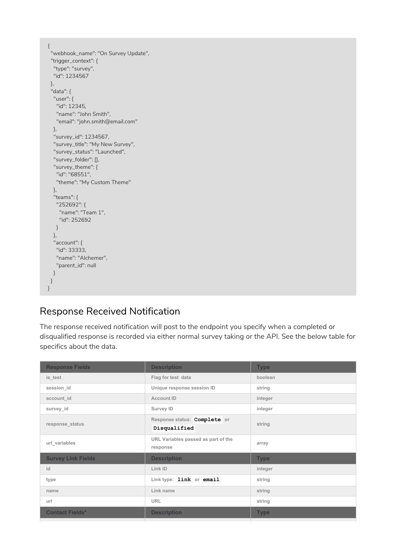```
{
 "webhook_name": "On Survey Update",
 "trigger_context": {
 "type": "survey",
 "id": 1234567
 },
 "data": {
  "user": {
  "id": 12345,
   "name": "John Smith",
   "email": "john.smith@email.com"
  },
  "survey_id": 1234567,
  "survey_title": "My New Survey",
  "survey_status": "Launched",
  "survey_folder": [],
  "survey_theme": {
   "id": "68551",
   "theme": "My Custom Theme"
  },
  "teams": {
   "252692": {
    "name": "Team 1",
    "id": 252692
   }
  },
  "account": {
   "id": 33333,
   "name": "Alchemer",
   "parent_id": null
 }
}
}
```
## Response Received Notification

The response received notification will post to the endpoint you specify when a completed or disqualified response is recorded via either normal survey taking or the API. See the below table for specifics about the data.

| <b>Response Fields</b>    | <b>Description</b>                              | <b>Type</b> |
|---------------------------|-------------------------------------------------|-------------|
| is test                   | Flag for test data                              | boolean     |
| session id                | Unique response session ID                      | string      |
| account id                | <b>Account ID</b>                               | integer     |
| survey id                 | Survey ID                                       | integer     |
| response_status           | Response status: Complete or                    | string      |
|                           | Disqualified                                    |             |
| url variables             | URL Variables passed as part of the<br>response | array       |
| <b>Survey Link Fields</b> | <b>Description</b>                              | <b>Type</b> |
| id                        | Link ID                                         | integer     |
| type                      | Link type: link or email                        | string      |
| name                      | Link name                                       | string      |
| url                       | <b>URL</b>                                      | string      |
| <b>Contact Fields*</b>    | <b>Description</b>                              | <b>Type</b> |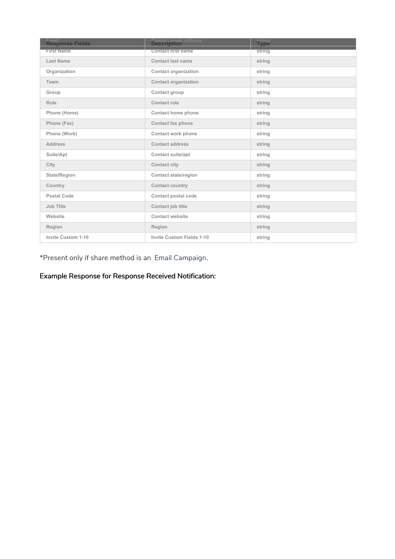| Email<br>Response Fields | <b>Contact email address</b><br><b>Description</b> | <b>string</b><br>Type |
|--------------------------|----------------------------------------------------|-----------------------|
| <b>First Name</b>        | <b>Contact first name</b>                          | string                |
| Last Name                | Contact last name                                  | string                |
| Organization             | <b>Contact organization</b>                        | string                |
| Team                     | <b>Contact organization</b>                        | string                |
| Group                    | Contact group                                      | string                |
| Role                     | Contact role                                       | string                |
| Phone (Home)             | Contact home phone                                 | string                |
| Phone (Fax)              | Contact fax phone                                  | string                |
| Phone (Work)             | <b>Contact work phone</b>                          | string                |
| <b>Address</b>           | <b>Contact address</b>                             | string                |
| Suite/Apt                | <b>Contact suite/apt</b>                           | string                |
| City                     | <b>Contact city</b>                                | string                |
| State/Region             | <b>Contact state/region</b>                        | string                |
| Country                  | Contact country                                    | string                |
| Postal Code              | Contact postal code                                | string                |
| Job Title                | Contact job title                                  | string                |
| Website                  | <b>Contact website</b>                             | string                |
| Region                   | Region                                             | string                |
| Invite Custom 1-10       | <b>Invite Custom Fields 1-10</b>                   | string                |

\*Present only if share method is an Email Campaign.

## Example Response for Response Received Notification: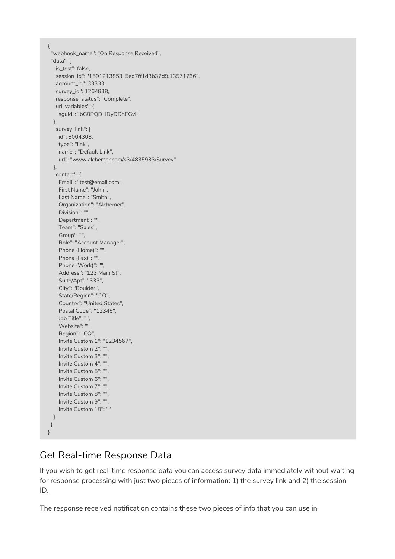```
{
"webhook_name": "On Response Received",
"data": {
 "is_test": false,
 "session_id": "1591213853_5ed7ff1d3b37d9.13571736",
 "account_id": 33333,
 "survey_id": 1264838,
 "response_status": "Complete",
 "url_variables": {
  "sguid": "bG0PQDHDyDDhEGvl"
 },
 "survey_link": {
  "id": 8004308,
  "type": "link",
  "name": "Default Link",
  "url": "www.alchemer.com/s3/4835933/Survey"
 },
 "contact": {
  "Email": "test@email.com",
  "First Name": "John",
  "Last Name": "Smith",
  "Organization": "Alchemer",
  "Division": "",
  "Department": "",
  "Team": "Sales",
  "Group": "",
  "Role": "Account Manager",
  "Phone (Home)": "",
  "Phone (Fax)": "",
  "Phone (Work)": "",
  "Address": "123 Main St",
  "Suite/Apt": "333",
  "City": "Boulder",
  "State/Region": "CO",
  "Country": "United States",
  "Postal Code": "12345",
  "Job Title": "",
  "Website": "",
  "Region": "CO",
  "Invite Custom 1": "1234567",
  "Invite Custom 2": "",
  "Invite Custom 3": "",
  "Invite Custom 4": "",
  "Invite Custom 5": "",
  "Invite Custom 6": "",
  "Invite Custom 7": "",
  "Invite Custom 8": "",
  "Invite Custom 9": "",
  "Invite Custom 10": ""
 }
}
```
# Get Real-time Response Data

}

If you wish to get real-time response data you can access survey data immediately without waiting for response processing with just two pieces of information: 1) the survey link and 2) the session ID.

The response received notification contains these two pieces of info that you can use in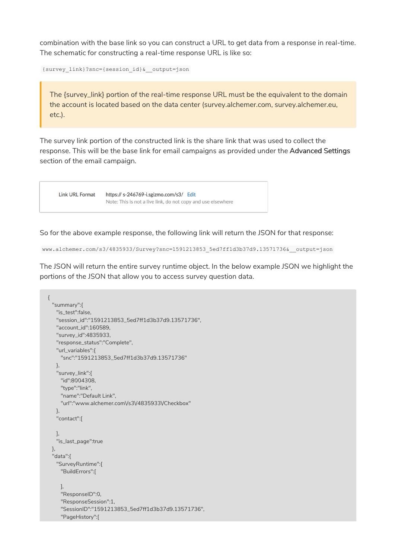combination with the base link so you can construct a URL to get data from a response in real-time. The schematic for constructing a real-time response URL is like so:

{survey\_link}?snc={session\_id}&\_\_output=json

The {survey\_link} portion of the real-time response URL must be the equivalent to the domain the account is located based on the data center (survey.alchemer.com, survey.alchemer.eu, etc.).

The survey link portion of the constructed link is the share link that was used to collect the response. This will be the base link for email campaigns as provided under the Advanced Settings section of the email campaign.



So for the above example response, the following link will return the JSON for that response:

```
www.alchemer.com/s3/4835933/Survey?snc=1591213853_5ed7ff1d3b37d9.13571736&__output=json
```
The JSON will return the entire survey runtime object. In the below example JSON we highlight the portions of the JSON that allow you to access survey question data.

```
{
 "summary":{
   "is_test":false,
   "session_id":"1591213853_5ed7ff1d3b37d9.13571736",
   "account_id":160589,
   "survey_id":4835933,
   "response_status":"Complete",
   "url_variables":{
    "snc":"1591213853_5ed7ff1d3b37d9.13571736"
  },
   "survey_link":{
    "id":8004308,
    "type":"link",
    "name":"Default Link",
    "url":"www.alchemer.com\/s3\/4835933\/Checkbox"
  },
   "contact":[
   ],
   "is_last_page":true
 },
 "data":{
   "SurveyRuntime":{
    "BuildErrors":[
    ],
    "ResponseID":0,
    "ResponseSession":1,
    "SessionID":"1591213853_5ed7ff1d3b37d9.13571736",
    "PageHistory":[
```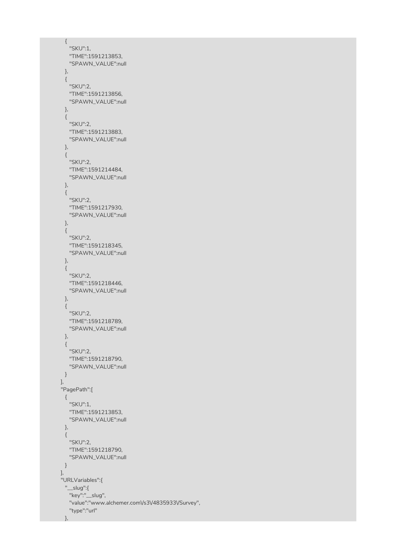```
{
   "SKU":1,
   "TIME":1591213853,
   "SPAWN_VALUE":null
 },
 {
   "SKU":2,
   "TIME":1591213856,
   "SPAWN_VALUE":null
 },
 {
  "SKU":2,
  "TIME":1591213883,
   "SPAWN_VALUE":null
 },
 {
   "SKU":2,
  "TIME":1591214484,
   "SPAWN_VALUE":null
 },
 {
   "SKU":2,
  "TIME":1591217930,
   "SPAWN_VALUE":null
 },
 {
   "SKU":2,
   "TIME":1591218345,
   "SPAWN_VALUE":null
 },
 {
  "SKU":2,
   "TIME":1591218446,
   "SPAWN_VALUE":null
 },
 {
   "SKU":2,
   "TIME":1591218789,
   "SPAWN_VALUE":null
 },
 {
  "SKU":2,
  "TIME":1591218790,
  "SPAWN_VALUE":null
 }
],
"PagePath":[
 {
  "SKU":1,
  "TIME":1591213853,
  "SPAWN_VALUE":null
 },
 {
  "SKU":2,
  "TIME":1591218790,
   "SPAWN_VALUE":null
 }
],
"URLVariables":{
 "__slug":{
   "key":"__slug",
   "value":"www.alchemer.com\/s3\/4835933\/Survey",
   "type":"url"
 },
```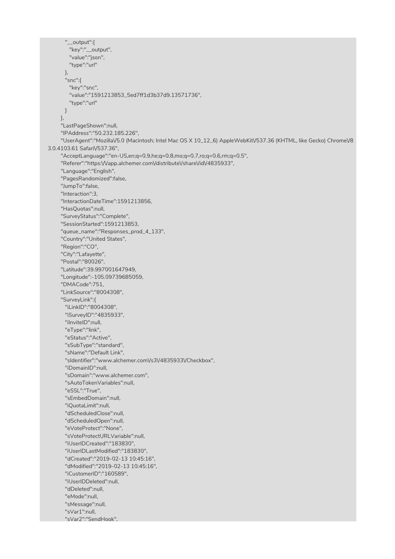"\_\_output":{ "key":"\_\_output", "value":"json", "type":"url" }, "snc":{ "key":"snc", "value":"1591213853\_5ed7ff1d3b37d9.13571736", "type":"url" } }, "LastPageShown":null, "IPAddress":"50.232.185.226", "UserAgent":"Mozilla\/5.0 (Macintosh; Intel Mac OS X 10\_12\_6) AppleWebKit\/537.36 (KHTML, like Gecko) Chrome\/8 3.0.4103.61 Safari\/537.36", "AcceptLanguage":"en-US,en;q=0.9,he;q=0.8,mo;q=0.7,ro;q=0.6,rm;q=0.5", "Referer":"https:\/\/app.alchemer.com\/distribute\/share\/id\/4835933", "Language":"English", "PagesRandomized":false, "JumpTo":false, "Interaction":3, "InteractionDateTime":1591213856, "HasQuotas":null, "SurveyStatus":"Complete", "SessionStarted":1591213853, "queue\_name":"Responses\_prod\_4\_133", "Country":"United States", "Region":"CO", "City":"Lafayette", "Postal":"80026", "Latitude":39.997001647949, "Longitude":-105.09739685059, "DMACode":751, "LinkSource":"8004308", "SurveyLink":{ "iLinkID":"8004308", "iSurveyID":"4835933", "iInviteID":null, "eType":"link", "eStatus":"Active", "sSubType":"standard", "sName":"Default Link", "sIdentifier":"www.alchemer.com\/s3\/4835933\/Checkbox", "iDomainID":null, "sDomain":"www.alchemer.com", "sAutoTokenVariables":null, "eSSL":"True", "sEmbedDomain":null, "iQuotaLimit":null, "dScheduledClose":null, "dScheduledOpen":null, "eVoteProtect":"None", "sVoteProtectURLVariable":null, "iUserIDCreated":"183830", "iUserIDLastModified":"183830", "dCreated":"2019-02-13 10:45:16", "dModified":"2019-02-13 10:45:16", "iCustomerID":"160589", "iUserIDDeleted":null, "dDeleted":null, "eMode":null, "sMessage":null, "sVar1":null, "sVar2":"SendHook",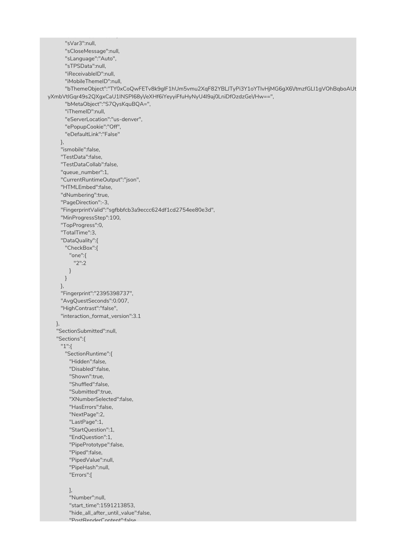```
"sVar3":null,
      "sCloseMessage":null,
      "sLanguage":"Auto",
      "sTPSData":null,
      "iReceivableID":null,
      "iMobileThemeID":null,
      "bThemeObject":"TY0xCoQwFETv8k9glF1hUm5vmu2XqF82YBLJTyPi3Y1oYTlvHjMG6gX6\/tmzfGLI1gVOhBqboAUt
yXmbVtIGqr49s2QXgxCaU1INSPI68yVeXHf6iYeyyiFfuHyNyU4l9aj0LniDfOzdzGeVHw==",
      "bMetaObject":"S7QysKquBQA=",
      "iThemeID":null,
      "eServerLocation":"us-denver",
      "ePopupCookie":"Off",
      "eDefaultLink":"False"
    },
     "ismobile":false,
    "TestData":false,
    "TestDataCollab":false,
    "queue_number":1,
    "CurrentRuntimeOutput":"json",
    "HTMLEmbed":false,
    "dNumbering":true,
    "PageDirection":-3,
    "FingerprintValid":"sgfbbfcb3a9eccc624df1cd2754ee80e3d",
    "MinProgressStep":100,
    "TopProgress":0,
    "TotalTime":3,
    "DataQuality":{
      "CheckBox":{
       "one":{
         "2":2
       }
     }
    },
    "Fingerprint":"2395398737",
    "AvgQuestSeconds":0.007,
    "HighContrast":"false",
    "interaction_format_version":3.1
   },
   "SectionSubmitted":null,
   "Sections":{
    "1":{
      "SectionRuntime":{
       "Hidden":false,
        "Disabled":false,
        "Shown":true,
        "Shuffled":false,
        "Submitted":true,
        "XNumberSelected":false,
       "HasErrors":false,
       "NextPage":2,
       "LastPage":1,
       "StartQuestion":1,
       "EndQuestion":1,
       "PipePrototype":false,
       "Piped":false,
       "PipedValue":null,
       "PipeHash":null,
       "Errors":[
       ],
       "Number":null,
       "start_time":1591213853,
        "hide_all_after_until_value":false,
```
"svariant send Hook", "Send Hook", "Send Hook", "Send Hook", "Send Hook", "Send Hook", "Send Hook", "Send Hook

"PostRenderContent":false,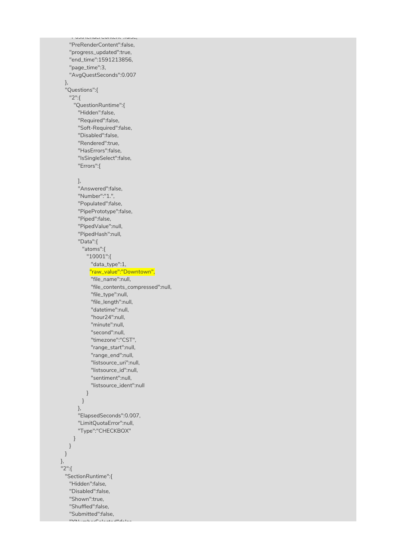"PreRenderContent":false, "progress\_updated":true, "end\_time":1591213856, "page\_time":3, "AvgQuestSeconds":0.007 }, "Questions":{ "2":{ "QuestionRuntime":{ "Hidden":false, "Required":false, "Soft-Required":false, "Disabled":false, "Rendered":true, "HasErrors":false, "IsSingleSelect":false, "Errors":[ ], "Answered":false, "Number":"1.", "Populated":false, "PipePrototype":false, "Piped":false, "PipedValue":null, "PipedHash":null, "Data":{ "atoms":{ "10001":{ "data\_type":1, "raw\_value":"Downtown", "file\_name":null, "file\_contents\_compressed":null, "file\_type":null, "file\_length":null, "datetime":null, "hour24":null, "minute":null, "second":null, "timezone":"CST", "range\_start":null, "range\_end":null, "listsource\_uri":null, "listsource\_id":null, "sentiment":null, "listsource\_ident":null } } }, "ElapsedSeconds":0.007, "LimitQuotaError":null, "Type":"CHECKBOX" } } } }, "2":{ "SectionRuntime":{ "Hidden":false, "Disabled":false, "Shown":true, "Shuffled":false, "Submitted":false, "XNumberSelected":false,

"PostRenderContent":false,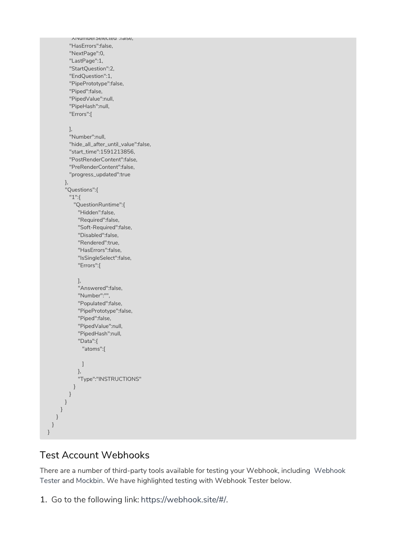```
"XNumberSelected":false,
        "HasErrors":false,
        "NextPage":0,
        "LastPage":1,
        "StartQuestion":2,
        "EndQuestion":1,
        "PipePrototype":false,
        "Piped":false,
        "PipedValue":null,
        "PipeHash":null,
        "Errors":[
        ],
        "Number":null,
        "hide_all_after_until_value":false,
        "start_time":1591213856,
        "PostRenderContent":false,
        "PreRenderContent":false,
        "progress_updated":true
      },
       "Questions":{
        "1":{
          "QuestionRuntime":{
            "Hidden":false,
            "Required":false,
            "Soft-Required":false,
            "Disabled":false,
            "Rendered":true,
            "HasErrors":false,
            "IsSingleSelect":false,
            "Errors":[
            ],
            "Answered":false,
            "Number":"",
            "Populated":false,
            "PipePrototype":false,
            "Piped":false,
            "PipedValue":null,
            "PipedHash":null,
            "Data":{
             "atoms":[
             ]
            },
            "Type":"INSTRUCTIONS"
          }
        }
      }
     }
   }
 }
}
```
## Test Account Webhooks

There are a number of third-party tools available for testing your Webhook, including Webhook Tester and Mockbin. We have highlighted testing with Webhook Tester below.

1. Go to the following link: https://webhook.site/#/.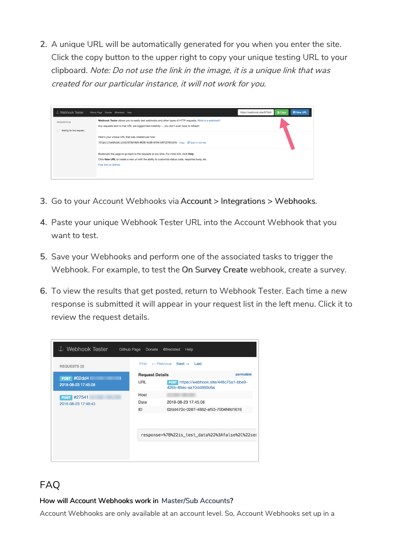2. A unique URL will be automatically generated for you when you enter the site. Click the copy button to the upper right to copy your unique testing URL to your clipboard. Note: Do not use the link in the image, it is <sup>a</sup> unique link that was created for our particular instance, it will not work for you.



- 3. Go to your Account Webhooks via Account > Integrations > Webhooks.
- 4. Paste your unique Webhook Tester URL into the Account Webhook that you want to test.
- 5. Save your Webhooks and perform one of the associated tasks to trigger the Webhook. For example, to test the On Survey Create webhook, create a survey.
- 6. To view the results that get posted, return to Webhook Tester. Each time a new response is submitted it will appear in your request list in the left menu. Click it to review the request details.

| む Webhook Tester    | Github Page<br>Donate  | @fredsted<br>Help                                                  |
|---------------------|------------------------|--------------------------------------------------------------------|
| <b>REQUESTS (2)</b> | First                  | $\leftarrow$ Previous Next $\rightarrow$ Last                      |
| <b>POST #02dd4!</b> | <b>Request Details</b> | permalink                                                          |
| 2018-08-23 17:45:08 | <b>URL</b>             | POST https://webhook.site/448c75a1-bbe9-<br>426b-85ec-aa10dd860c6a |
| <b>POST #27541</b>  | Host                   |                                                                    |
| 2018-08-23 17:46:43 | Date                   | 2018-08-23 17:45:08                                                |
|                     | ID                     | 02dd470c-3287-4862-af53-7004f4fd1616                               |
|                     |                        |                                                                    |
|                     |                        | response=%7B%22is_test_data%22%3Afalse%2C%22ses                    |
|                     |                        |                                                                    |

# FAQ

### How will Account Webhooks work in Master/Sub Accounts?

Account Webhooks are only available at an account level. So, Account Webhooks set up in a